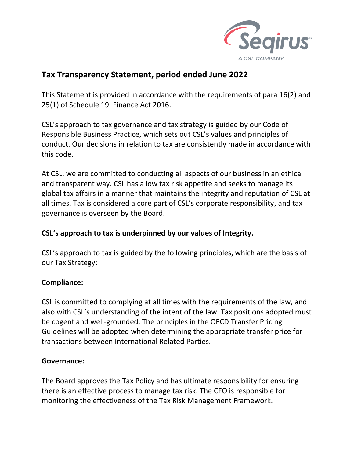

# **Tax Transparency Statement, period ended June 2022**

This Statement is provided in accordance with the requirements of para 16(2) and 25(1) of Schedule 19, Finance Act 2016.

CSL's approach to tax governance and tax strategy is guided by our Code of Responsible Business Practice, which sets out CSL's values and principles of conduct. Our decisions in relation to tax are consistently made in accordance with this code.

At CSL, we are committed to conducting all aspects of our business in an ethical and transparent way. CSL has a low tax risk appetite and seeks to manage its global tax affairs in a manner that maintains the integrity and reputation of CSL at all times. Tax is considered a core part of CSL's corporate responsibility, and tax governance is overseen by the Board.

# **CSL's approach to tax is underpinned by our values of Integrity.**

CSL's approach to tax is guided by the following principles, which are the basis of our Tax Strategy:

## **Compliance:**

CSL is committed to complying at all times with the requirements of the law, and also with CSL's understanding of the intent of the law. Tax positions adopted must be cogent and well-grounded. The principles in the OECD Transfer Pricing Guidelines will be adopted when determining the appropriate transfer price for transactions between International Related Parties.

## **Governance:**

The Board approves the Tax Policy and has ultimate responsibility for ensuring there is an effective process to manage tax risk. The CFO is responsible for monitoring the effectiveness of the Tax Risk Management Framework.